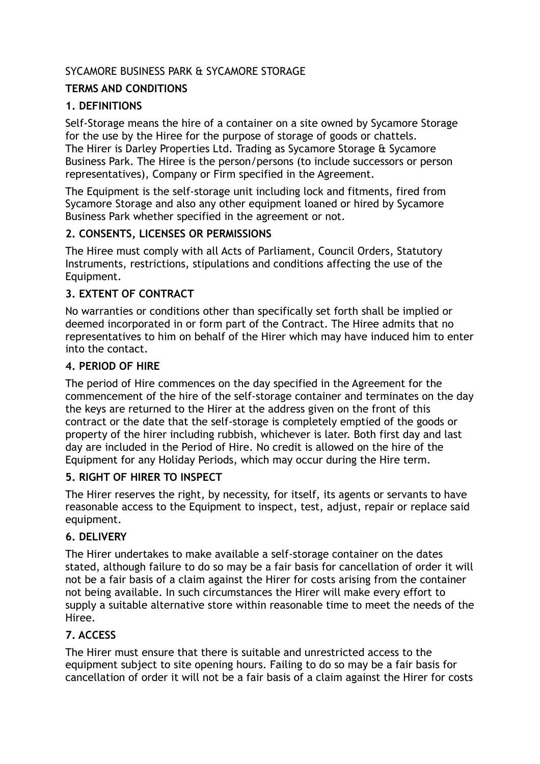# SYCAMORE BUSINESS PARK & SYCAMORE STORAGE

## **TERMS AND CONDITIONS**

## **1. DEFINITIONS**

Self-Storage means the hire of a container on a site owned by Sycamore Storage for the use by the Hiree for the purpose of storage of goods or chattels. The Hirer is Darley Properties Ltd. Trading as Sycamore Storage & Sycamore Business Park. The Hiree is the person/persons (to include successors or person representatives), Company or Firm specified in the Agreement.

The Equipment is the self-storage unit including lock and fitments, fired from Sycamore Storage and also any other equipment loaned or hired by Sycamore Business Park whether specified in the agreement or not.

# **2. CONSENTS, LICENSES OR PERMISSIONS**

The Hiree must comply with all Acts of Parliament, Council Orders, Statutory Instruments, restrictions, stipulations and conditions affecting the use of the Equipment.

# **3. EXTENT OF CONTRACT**

No warranties or conditions other than specifically set forth shall be implied or deemed incorporated in or form part of the Contract. The Hiree admits that no representatives to him on behalf of the Hirer which may have induced him to enter into the contact.

#### **4. PERIOD OF HIRE**

The period of Hire commences on the day specified in the Agreement for the commencement of the hire of the self-storage container and terminates on the day the keys are returned to the Hirer at the address given on the front of this contract or the date that the self-storage is completely emptied of the goods or property of the hirer including rubbish, whichever is later. Both first day and last day are included in the Period of Hire. No credit is allowed on the hire of the Equipment for any Holiday Periods, which may occur during the Hire term.

## **5. RIGHT OF HIRER TO INSPECT**

The Hirer reserves the right, by necessity, for itself, its agents or servants to have reasonable access to the Equipment to inspect, test, adjust, repair or replace said equipment.

## **6. DELIVERY**

The Hirer undertakes to make available a self-storage container on the dates stated, although failure to do so may be a fair basis for cancellation of order it will not be a fair basis of a claim against the Hirer for costs arising from the container not being available. In such circumstances the Hirer will make every effort to supply a suitable alternative store within reasonable time to meet the needs of the Hiree.

## **7. ACCESS**

The Hirer must ensure that there is suitable and unrestricted access to the equipment subject to site opening hours. Failing to do so may be a fair basis for cancellation of order it will not be a fair basis of a claim against the Hirer for costs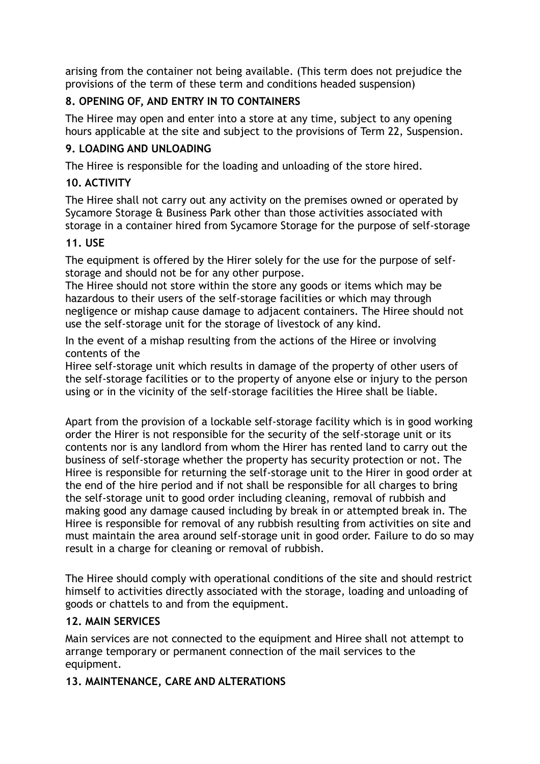arising from the container not being available. (This term does not prejudice the provisions of the term of these term and conditions headed suspension)

# **8. OPENING OF, AND ENTRY IN TO CONTAINERS**

The Hiree may open and enter into a store at any time, subject to any opening hours applicable at the site and subject to the provisions of Term 22, Suspension.

# **9. LOADING AND UNLOADING**

The Hiree is responsible for the loading and unloading of the store hired.

# **10. ACTIVITY**

The Hiree shall not carry out any activity on the premises owned or operated by Sycamore Storage & Business Park other than those activities associated with storage in a container hired from Sycamore Storage for the purpose of self-storage

## **11. USE**

The equipment is offered by the Hirer solely for the use for the purpose of selfstorage and should not be for any other purpose.

The Hiree should not store within the store any goods or items which may be hazardous to their users of the self-storage facilities or which may through negligence or mishap cause damage to adjacent containers. The Hiree should not use the self-storage unit for the storage of livestock of any kind.

In the event of a mishap resulting from the actions of the Hiree or involving contents of the

Hiree self-storage unit which results in damage of the property of other users of the self-storage facilities or to the property of anyone else or injury to the person using or in the vicinity of the self-storage facilities the Hiree shall be liable.

Apart from the provision of a lockable self-storage facility which is in good working order the Hirer is not responsible for the security of the self-storage unit or its contents nor is any landlord from whom the Hirer has rented land to carry out the business of self-storage whether the property has security protection or not. The Hiree is responsible for returning the self-storage unit to the Hirer in good order at the end of the hire period and if not shall be responsible for all charges to bring the self-storage unit to good order including cleaning, removal of rubbish and making good any damage caused including by break in or attempted break in. The Hiree is responsible for removal of any rubbish resulting from activities on site and must maintain the area around self-storage unit in good order. Failure to do so may result in a charge for cleaning or removal of rubbish.

The Hiree should comply with operational conditions of the site and should restrict himself to activities directly associated with the storage, loading and unloading of goods or chattels to and from the equipment.

# **12. MAIN SERVICES**

Main services are not connected to the equipment and Hiree shall not attempt to arrange temporary or permanent connection of the mail services to the equipment.

# **13. MAINTENANCE, CARE AND ALTERATIONS**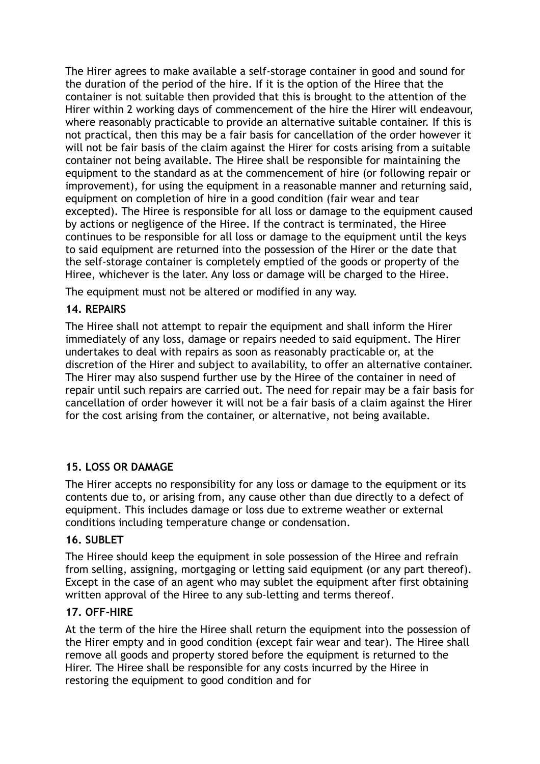The Hirer agrees to make available a self-storage container in good and sound for the duration of the period of the hire. If it is the option of the Hiree that the container is not suitable then provided that this is brought to the attention of the Hirer within 2 working days of commencement of the hire the Hirer will endeavour, where reasonably practicable to provide an alternative suitable container. If this is not practical, then this may be a fair basis for cancellation of the order however it will not be fair basis of the claim against the Hirer for costs arising from a suitable container not being available. The Hiree shall be responsible for maintaining the equipment to the standard as at the commencement of hire (or following repair or improvement), for using the equipment in a reasonable manner and returning said, equipment on completion of hire in a good condition (fair wear and tear excepted). The Hiree is responsible for all loss or damage to the equipment caused by actions or negligence of the Hiree. If the contract is terminated, the Hiree continues to be responsible for all loss or damage to the equipment until the keys to said equipment are returned into the possession of the Hirer or the date that the self-storage container is completely emptied of the goods or property of the Hiree, whichever is the later. Any loss or damage will be charged to the Hiree.

The equipment must not be altered or modified in any way.

## **14. REPAIRS**

The Hiree shall not attempt to repair the equipment and shall inform the Hirer immediately of any loss, damage or repairs needed to said equipment. The Hirer undertakes to deal with repairs as soon as reasonably practicable or, at the discretion of the Hirer and subject to availability, to offer an alternative container. The Hirer may also suspend further use by the Hiree of the container in need of repair until such repairs are carried out. The need for repair may be a fair basis for cancellation of order however it will not be a fair basis of a claim against the Hirer for the cost arising from the container, or alternative, not being available.

## **15. LOSS OR DAMAGE**

The Hirer accepts no responsibility for any loss or damage to the equipment or its contents due to, or arising from, any cause other than due directly to a defect of equipment. This includes damage or loss due to extreme weather or external conditions including temperature change or condensation.

#### **16. SUBLET**

The Hiree should keep the equipment in sole possession of the Hiree and refrain from selling, assigning, mortgaging or letting said equipment (or any part thereof). Except in the case of an agent who may sublet the equipment after first obtaining written approval of the Hiree to any sub-letting and terms thereof.

#### **17. OFF-HIRE**

At the term of the hire the Hiree shall return the equipment into the possession of the Hirer empty and in good condition (except fair wear and tear). The Hiree shall remove all goods and property stored before the equipment is returned to the Hirer. The Hiree shall be responsible for any costs incurred by the Hiree in restoring the equipment to good condition and for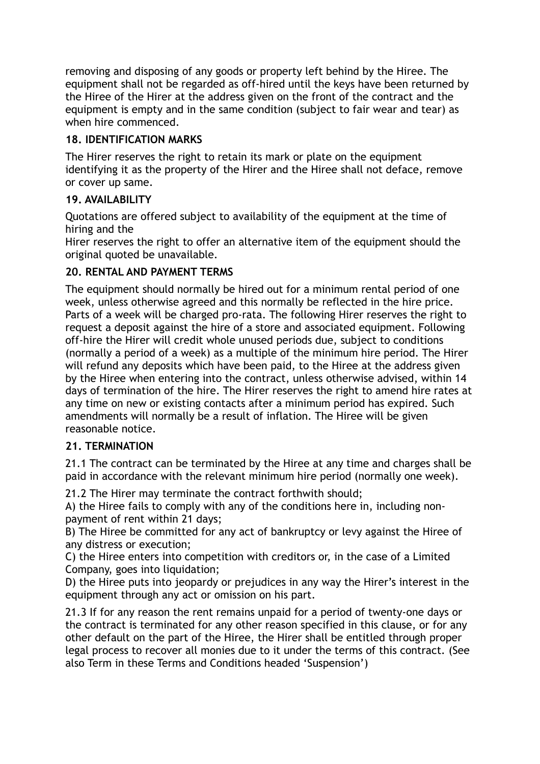removing and disposing of any goods or property left behind by the Hiree. The equipment shall not be regarded as off-hired until the keys have been returned by the Hiree of the Hirer at the address given on the front of the contract and the equipment is empty and in the same condition (subject to fair wear and tear) as when hire commenced.

# **18. IDENTIFICATION MARKS**

The Hirer reserves the right to retain its mark or plate on the equipment identifying it as the property of the Hirer and the Hiree shall not deface, remove or cover up same.

# **19. AVAILABILITY**

Quotations are offered subject to availability of the equipment at the time of hiring and the

Hirer reserves the right to offer an alternative item of the equipment should the original quoted be unavailable.

# **20. RENTAL AND PAYMENT TERMS**

The equipment should normally be hired out for a minimum rental period of one week, unless otherwise agreed and this normally be reflected in the hire price. Parts of a week will be charged pro-rata. The following Hirer reserves the right to request a deposit against the hire of a store and associated equipment. Following off-hire the Hirer will credit whole unused periods due, subject to conditions (normally a period of a week) as a multiple of the minimum hire period. The Hirer will refund any deposits which have been paid, to the Hiree at the address given by the Hiree when entering into the contract, unless otherwise advised, within 14 days of termination of the hire. The Hirer reserves the right to amend hire rates at any time on new or existing contacts after a minimum period has expired. Such amendments will normally be a result of inflation. The Hiree will be given reasonable notice.

# **21. TERMINATION**

21.1 The contract can be terminated by the Hiree at any time and charges shall be paid in accordance with the relevant minimum hire period (normally one week).

21.2 The Hirer may terminate the contract forthwith should;

A) the Hiree fails to comply with any of the conditions here in, including nonpayment of rent within 21 days;

B) The Hiree be committed for any act of bankruptcy or levy against the Hiree of any distress or execution;

C) the Hiree enters into competition with creditors or, in the case of a Limited Company, goes into liquidation;

D) the Hiree puts into jeopardy or prejudices in any way the Hirer's interest in the equipment through any act or omission on his part.

21.3 If for any reason the rent remains unpaid for a period of twenty-one days or the contract is terminated for any other reason specified in this clause, or for any other default on the part of the Hiree, the Hirer shall be entitled through proper legal process to recover all monies due to it under the terms of this contract. (See also Term in these Terms and Conditions headed 'Suspension')